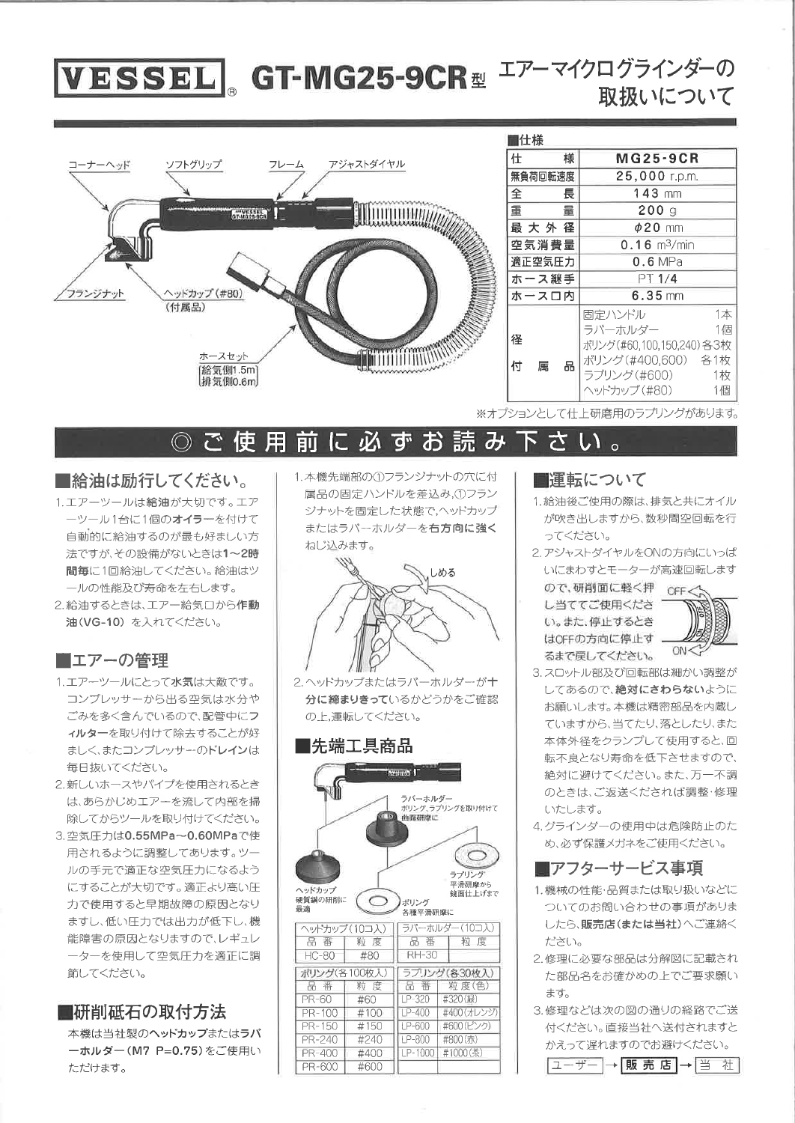# VESSEL GT-MG25-9CR 型エアーマイクログラインダーの 取扱いについて



| ∎仕様         |                            |  |  |  |  |
|-------------|----------------------------|--|--|--|--|
| 様<br>仕      | <b>MG25-9CR</b>            |  |  |  |  |
| 無負荷回転速度     | 25,000 r.p.m.              |  |  |  |  |
| 全<br>長      | $143$ mm                   |  |  |  |  |
| 重<br>暈      | 200q                       |  |  |  |  |
| 最大外径        | $\phi$ 20 mm               |  |  |  |  |
| 空気消費量       | $0.16$ m <sup>3</sup> /min |  |  |  |  |
| 適正空気圧力      | $0.6$ MPa                  |  |  |  |  |
| ホース継手       | PT 1/4                     |  |  |  |  |
| ホースロ内       | $6.35$ mm                  |  |  |  |  |
|             | 1本<br>固定ハンドル               |  |  |  |  |
|             | 1個<br>ラバーホルダー              |  |  |  |  |
| 径           | ポリング(#60,100,150,240) 各3枚  |  |  |  |  |
| 品<br>付<br>属 | ポリング (#400,600) 各1枚        |  |  |  |  |
|             | ラプリング(#600)<br>1枚          |  |  |  |  |
|             | 1個<br>ヘッドカップ (#80)         |  |  |  |  |

※オプションとして什上研磨用のラブリングがあります。

#### 下さい。 ◎ ご 使 用 前 に 必 ず 読み お

## ■給油は励行してください。

- 1.エアーツールは給油が大切です。エア ーツール1台に1個のオイラーを付けて 自動的に給油するのが最も好ましい方 法ですが、その設備がないときは1~2時 間毎に1回給油してください。給油はツ ールの性能及び寿命を左右します。
- 2. 給油するときは、エアー給気口から作動 油(VG-10) を入れてください。

## ■エアーの管理

- 1.エアーツールにとって水気は大敵です。 コンプレッサーから出る空気は水分や ごみを多く含んでいるので、配管中にフ ィルターを取り付けて除去することが好 ましく、またコンプレッサーのドレインは 毎日抜いてください。
- 2.新しいホースやパイプを使用されるとき は、あらかじめエアーを流して内部を掃 除してからツールを取り付けてください。
- 3. 空気圧力は0.55MPa~0.60MPaで使 用されるように調整してあります。ツー ルの手元で適正な空気圧力になるよう にすることが大切です。適正より高い圧 力で使用すると早期故障の原因となり ますし、低い圧力では出力が低下し、機 能障害の原因となりますので、レギュレ 一ターを使用して空気圧力を適正に調 節してください。

## ■研削砥石の取付方法

本機は当社製のヘッドカップまたはラバ ーホルダー (M7 P=0.75)をご使用い ただけます。

1.本機先端部の①フランジナットの穴に付 属品の固定ハンドルを差込み,①フラン ジナットを固定した状態で,ヘッドカップ またはラバーホルダーを右方向に強く ねじ込みます。



2.ヘッドカップまたはラバーホルダーが十 分に締まりきっているかどうかをご確認 の上、運転してください。

## ∎先端工具商品



## ■運転について

- 1. 給油後ご使用の際は、排気と共にオイル が吹き出しますから、数秒間空回転を行 ってください。
- 2. アジャストダイヤルをONの方向にいっぱ いにまわすとモーターが高速回転します

ので、研削面に軽く押 OFF し当ててご使用くださ い。また、停止するとき はOFFの方向に停止す るまで戻してください。



- 3. スロットル部及び回転部は細かい調整が してあるので、絶対にさわらないように お願いします。本機は精密部品を内蔵し ていますから、当てたり、落としたり、また 本体外径をクランプして使用すると、回 転不良となり寿命を低下させますので、 絶対に避けてください。また、万一不調 のときは、ご返送くだされば調整・修理 いたします。
- 4. グラインダーの使用中は危険防止のた め、必ず保護メガネをご使用ください。

## ■アフターサービス事項

- 1.機械の性能·品質または取り扱いなどに ついてのお問い合わせの事項がありま したら、販売店(または当社)へご連絡く ださい。
- 2.修理に必要な部品は分解図に記載され た部品名をお確かめの上でご要求願い ます。
- 3. 修理などは次の図の通りの経路でご送 付ください。直接当社へ送付されますと かえって遅れますのでお避けください。

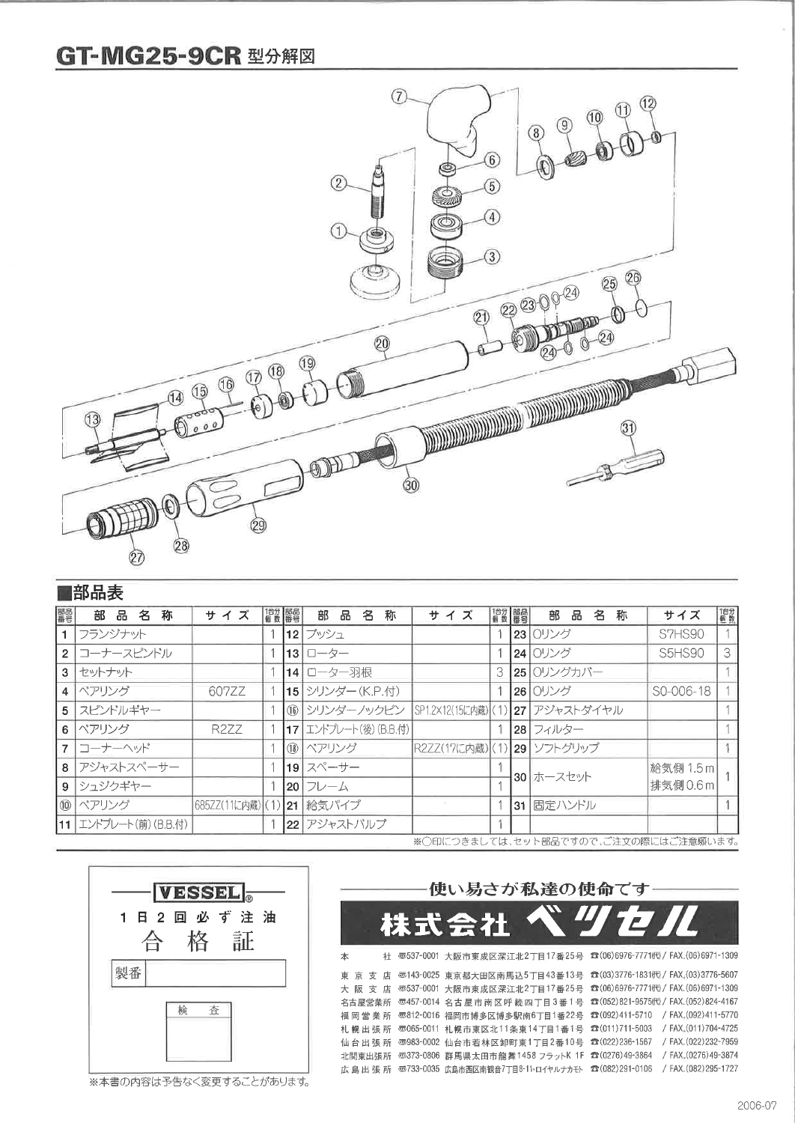## **GT-MG25-9CR 型分解図**



## ■部品表

| 噩景             | 称<br>部品名                             | サイズ                       | 倡数   部品 |  | 部 品<br>名<br>称         | サイズ                        | 借数 都器 |        | 部品<br>名<br>称                     | サイズ           | 1台分 |
|----------------|--------------------------------------|---------------------------|---------|--|-----------------------|----------------------------|-------|--------|----------------------------------|---------------|-----|
|                | フランジナット                              |                           |         |  | 12 ブッシュ               |                            |       |        | 23 0リング                          | S7HS90        |     |
| $\overline{2}$ | コーナースピンドル                            |                           |         |  | $131 - 5 -$           |                            |       |        | 24 0リング                          | <b>S5HS90</b> | 3   |
| 3              | セットナット                               |                           |         |  | 14 ローター羽根             |                            |       |        | 25 0リングカバー                       |               |     |
| $\overline{4}$ | ベアリング                                | 607ZZ                     |         |  | 15 シリンダー (K.P.付)      |                            |       |        | 26 0リング                          | S0-006-18     |     |
| 5              | スピンドルギヤー                             |                           |         |  | (16) シリンダーノックピン       |                            |       |        | SP1.2×12(15に内蔵) (1) 27 アジャストダイヤル |               |     |
| 6              | ベアリング                                | R277                      |         |  | 17 エントプレート(後) (B.B.付) |                            |       |        | 28  フィルター                        |               |     |
|                | 7 コーナーヘッド                            |                           |         |  | (18) ベアリング            | R2ZZ(17に内蔵) (1) 29 ンフトグリップ |       |        |                                  |               |     |
|                | 8 アジャストスペーサー                         |                           |         |  | 19 スペーサー              |                            |       |        |                                  | 給気側 1.5 m     |     |
|                | 9 シュジクギヤー                            |                           |         |  | 20 フレーム               |                            |       |        | 30 ホースセット                        | 排気側 0.6 ml    |     |
|                | ⑩   ベアリング                            | 685ZZ(11に内蔵) (1) 21 給気パイプ |         |  |                       |                            |       | l 31 l | 固定ハンドル                           |               |     |
|                | 11 エンドプレート(前) (B.B.付)                |                           |         |  | 22 アジャストバルブ           |                            |       |        |                                  |               |     |
|                | ※○印につきましては、セット部品ですので、ご注文の際にはご注意願います。 |                           |         |  |                       |                            |       |        |                                  |               |     |



※本書の内容は予告なく変更することがあります。

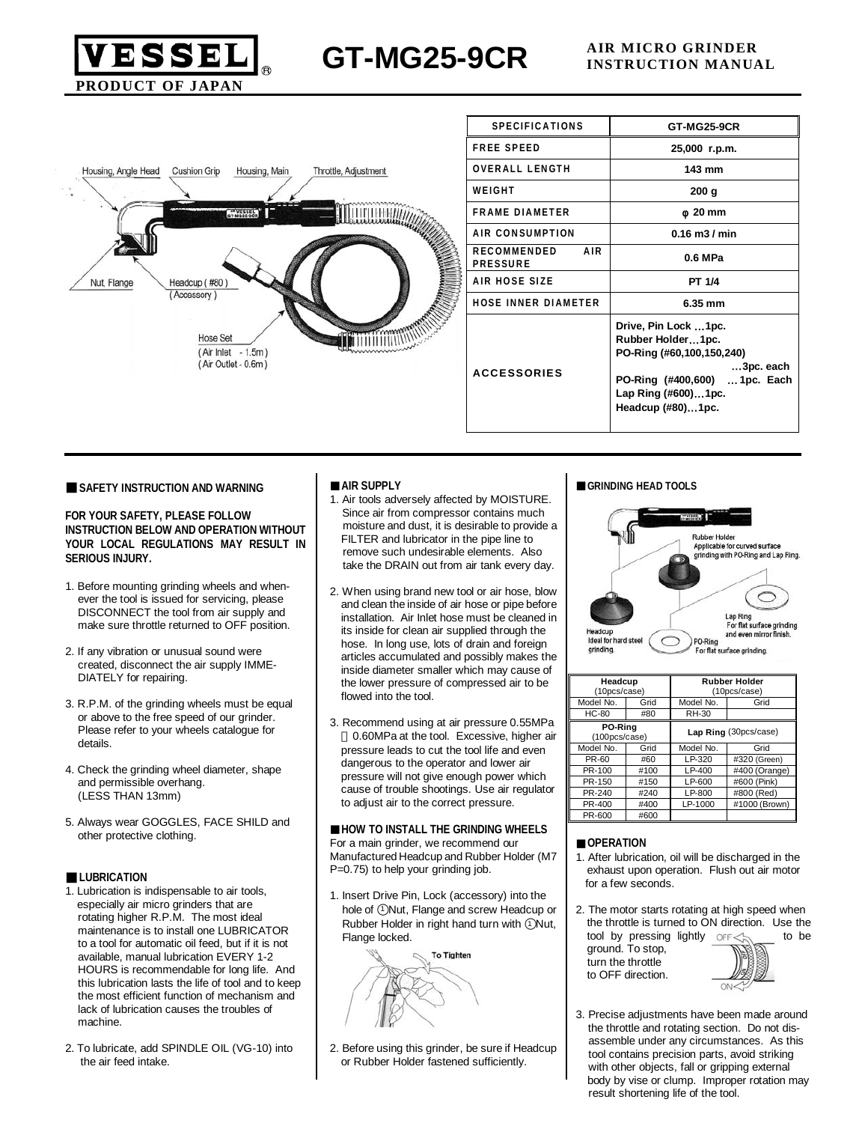

**GT-MG25-9CR AIR MICRO GRINDER**

| Housing, Angle Head | <b>Cushion Grip</b><br>Housing, Main<br>Throttle, Adjustment                                  |
|---------------------|-----------------------------------------------------------------------------------------------|
|                     | GT-WG25-9CR                                                                                   |
| Nut, Flange         | Headcup (#80)<br>(Accessory)                                                                  |
|                     | <b>THEFT TY COONY</b><br>Cape of the<br>Hose Set<br>(Air Inlet - 1.5m)<br>(Air Outlet - 0.6m) |
|                     |                                                                                               |

| <b>SPECIFICATIONS</b>                               | <b>GT-MG25-9CR</b>                                                                                                                                               |
|-----------------------------------------------------|------------------------------------------------------------------------------------------------------------------------------------------------------------------|
| <b>FREE SPEED</b>                                   | 25,000 r.p.m.                                                                                                                                                    |
| <b>OVERALL LENGTH</b>                               | 143 mm                                                                                                                                                           |
| WEIGHT                                              | 200 g                                                                                                                                                            |
| <b>FRAME DIAMETER</b>                               | 20 mm                                                                                                                                                            |
| AIR CONSUMPTION                                     | $0.16$ m $3/$ min                                                                                                                                                |
| <b>RECOMMENDED</b><br><b>AIR</b><br><b>PRESSURE</b> | 0.6 MPa                                                                                                                                                          |
| AIR HOSE SIZE                                       | PT 1/4                                                                                                                                                           |
| <b>HOSE INNER DIAMETER</b>                          | 6.35 mm                                                                                                                                                          |
| <b>ACCESSORIES</b>                                  | Drive, Pin Lock 1pc.<br>Rubber Holder1pc.<br>PO-Ring (#60,100,150,240)<br>3pc. each<br>PO-Ring (#400,600)  1pc. Each<br>Lap Ring (#600)1pc.<br>Headcup (#80)1pc. |

#### **SAFETY INSTRUCTION AND WARNING**

**FOR YOUR SAFETY, PLEASE FOLLOW INSTRUCTION BELOW AND OPERATION WITHOUT YOUR LOCAL REGULATIONS MAY RESULT IN SERIOUS INJURY.**

- 1. Before mounting grinding wheels and when ever the tool is issued for servicing, please DISCONNECT the tool from air supply and make sure throttle returned to OFF position.
- 2. If any vibration or unusual sound were created, disconnect the air supply IMME- DIATELY for repairing.
- 3. R.P.M. of the grinding wheels must be equal or above to the free speed of our grinder. Please refer to your wheels catalogue for details.
- 4. Check the grinding wheel diameter, shape and permissible overhang. (LESS THAN 13mm)
- 5. Always wear GOGGLES, FACE SHILD and other protective clothing.

### **LUBRICATION**

- 1. Lubrication is indispensable to air tools, especially air micro grinders that are rotating higher R.P.M. The most ideal maintenance is to install one LUBRICATOR to a tool for automatic oil feed, but if it is not available, manual lubrication EVERY 1-2 HOURS is recommendable for long life. And this lubrication lasts the life of tool and to keep the most efficient function of mechanism and lack of lubrication causes the troubles of machine.
- 2. To lubricate, add SPINDLE OIL (VG-10) into the air feed intake.

### **AIR SUPPLY**

- 1. Air tools adversely affected by MOISTURE. Since air from compressor contains much moisture and dust, it is desirable to provide a FILTER and lubricator in the pipe line to remove such undesirable elements. Also take the DRAIN out from air tank every day.
- 2. When using brand new tool or air hose, blow and clean the inside of air hose or pipe before installation. Air Inlet hose must be cleaned in its inside for clean air supplied through the hose. In long use, lots of drain and foreign articles accumulated and possibly makes the inside diameter smaller which may cause of the lower pressure of compressed air to be flowed into the tool.
- 3. Recommend using at air pressure 0.55MPa 0.60MPa at the tool. Excessive, higher air pressure leads to cut the tool life and even dangerous to the operator and lower air pressure will not give enough power which cause of trouble shootings. Use air regulator to adjust air to the correct pressure.

**HOW TO INSTALL THE GRINDING WHEELS** For a main grinder, we recommend our Manufactured Headcup and Rubber Holder (M7 P=0.75) to help your grinding job.

1. Insert Drive Pin, Lock (accessory) into the hole of 1 Nut, Flange and screw Headcup or Rubber Holder in right hand turn with 1 Nut, Flange locked.



2. Before using this grinder, be sure if Headcup or Rubber Holder fastened sufficiently.

### **GRINDING HEAD TOOLS**



| Headcup<br>(10pcs/case)  |      | <b>Rubber Holder</b><br>(10pcs/case) |               |  |  |
|--------------------------|------|--------------------------------------|---------------|--|--|
| Model No.                | Grid | Model No.                            | Grid          |  |  |
| <b>HC-80</b>             | #80  | RH-30                                |               |  |  |
| PO-Ring<br>(100pcs/case) |      | Lap Ring (30pcs/case)                |               |  |  |
| Model No.                | Grid | Model No.                            | Grid          |  |  |
| PR-60                    | #60  | $LP-320$                             | #320 (Green)  |  |  |
| PR-100                   | #100 | $LP-400$                             | #400 (Orange) |  |  |
| PR-150                   | #150 | LP-600                               | #600 (Pink)   |  |  |
| PR-240                   | #240 | LP-800                               | #800 (Red)    |  |  |
| PR-400                   | #400 | LP-1000                              | #1000 (Brown) |  |  |
| PR-600                   | #600 |                                      |               |  |  |

### **OPERATION**

- 1. After lubrication, oil will be discharged in the exhaust upon operation. Flush out air motor for a few seconds.
- 2. The motor starts rotating at high speed when the throttle is turned to ON direction. Use the tool by pressing lightly  $OF < \land$  to be

ground. To stop, turn the throttle to OFF direction.



3. Precise adjustments have been made around the throttle and rotating section. Do not dis assemble under any circumstances. As this tool contains precision parts, avoid striking with other objects, fall or gripping external body by vise or clump. Improper rotation may result shortening life of the tool.